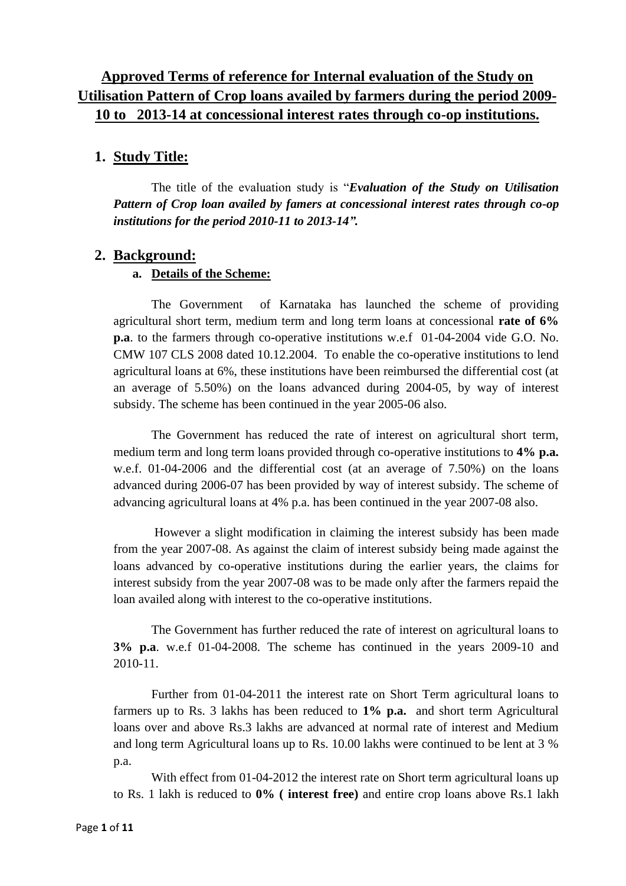# **Approved Terms of reference for Internal evaluation of the Study on Utilisation Pattern of Crop loans availed by farmers during the period 2009- 10 to 2013-14 at concessional interest rates through co-op institutions.**

## **1. Study Title:**

The title of the evaluation study is "*Evaluation of the Study on Utilisation Pattern of Crop loan availed by famers at concessional interest rates through co-op institutions for the period 2010-11 to 2013-14".* 

## **2. Background:**

## **a. Details of the Scheme:**

The Government of Karnataka has launched the scheme of providing agricultural short term, medium term and long term loans at concessional **rate of 6% p.a**. to the farmers through co-operative institutions w.e.f 01-04-2004 vide G.O. No. CMW 107 CLS 2008 dated 10.12.2004. To enable the co-operative institutions to lend agricultural loans at 6%, these institutions have been reimbursed the differential cost (at an average of 5.50%) on the loans advanced during 2004-05, by way of interest subsidy. The scheme has been continued in the year 2005-06 also.

The Government has reduced the rate of interest on agricultural short term, medium term and long term loans provided through co-operative institutions to **4% p.a.** w.e.f. 01-04-2006 and the differential cost (at an average of 7.50%) on the loans advanced during 2006-07 has been provided by way of interest subsidy. The scheme of advancing agricultural loans at 4% p.a. has been continued in the year 2007-08 also.

However a slight modification in claiming the interest subsidy has been made from the year 2007-08. As against the claim of interest subsidy being made against the loans advanced by co-operative institutions during the earlier years, the claims for interest subsidy from the year 2007-08 was to be made only after the farmers repaid the loan availed along with interest to the co-operative institutions.

The Government has further reduced the rate of interest on agricultural loans to **3% p.a**. w.e.f 01-04-2008. The scheme has continued in the years 2009-10 and 2010-11.

Further from 01-04-2011 the interest rate on Short Term agricultural loans to farmers up to Rs. 3 lakhs has been reduced to **1% p.a.** and short term Agricultural loans over and above Rs.3 lakhs are advanced at normal rate of interest and Medium and long term Agricultural loans up to Rs. 10.00 lakhs were continued to be lent at 3 % p.a.

With effect from 01-04-2012 the interest rate on Short term agricultural loans up to Rs. 1 lakh is reduced to **0% ( interest free)** and entire crop loans above Rs.1 lakh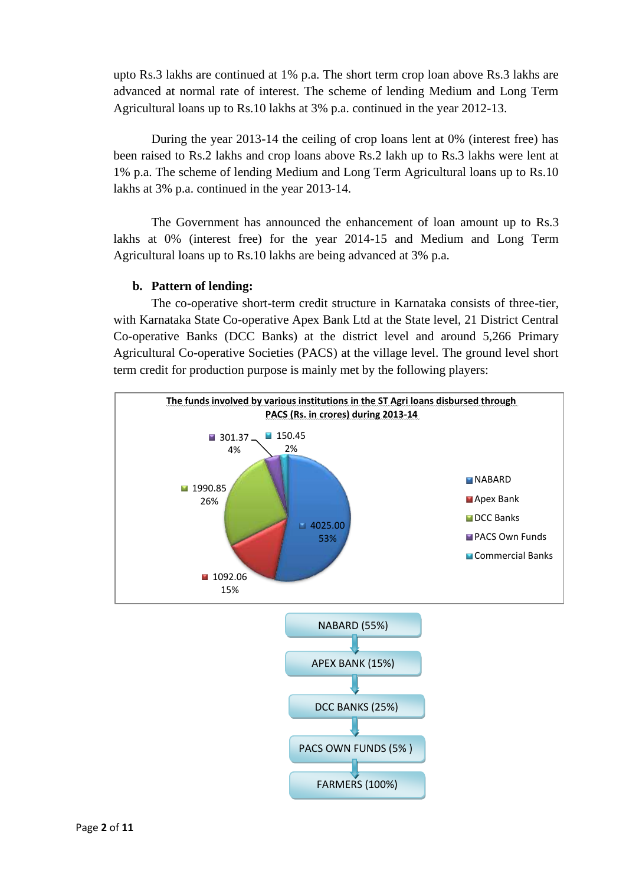upto Rs.3 lakhs are continued at 1% p.a. The short term crop loan above Rs.3 lakhs are advanced at normal rate of interest. The scheme of lending Medium and Long Term Agricultural loans up to Rs.10 lakhs at 3% p.a. continued in the year 2012-13.

During the year 2013-14 the ceiling of crop loans lent at 0% (interest free) has been raised to Rs.2 lakhs and crop loans above Rs.2 lakh up to Rs.3 lakhs were lent at 1% p.a. The scheme of lending Medium and Long Term Agricultural loans up to Rs.10 lakhs at 3% p.a. continued in the year 2013-14.

The Government has announced the enhancement of loan amount up to Rs.3 lakhs at 0% (interest free) for the year 2014-15 and Medium and Long Term Agricultural loans up to Rs.10 lakhs are being advanced at 3% p.a.

#### **b. Pattern of lending:**

The co-operative short-term credit structure in Karnataka consists of three-tier, with Karnataka State Co-operative Apex Bank Ltd at the State level, 21 District Central Co-operative Banks (DCC Banks) at the district level and around 5,266 Primary Agricultural Co-operative Societies (PACS) at the village level. The ground level short term credit for production purpose is mainly met by the following players:

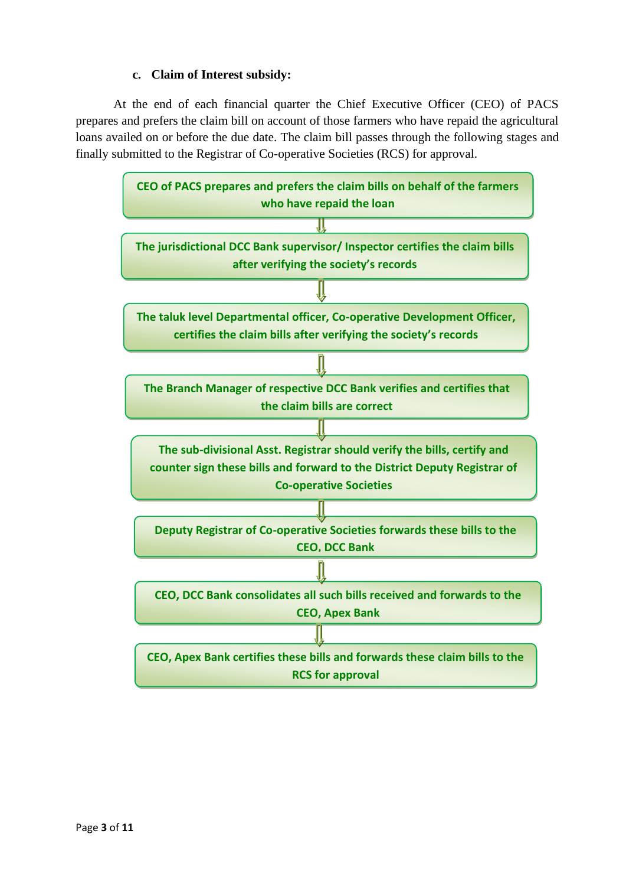### **c. Claim of Interest subsidy:**

At the end of each financial quarter the Chief Executive Officer (CEO) of PACS prepares and prefers the claim bill on account of those farmers who have repaid the agricultural loans availed on or before the due date. The claim bill passes through the following stages and finally submitted to the Registrar of Co-operative Societies (RCS) for approval.

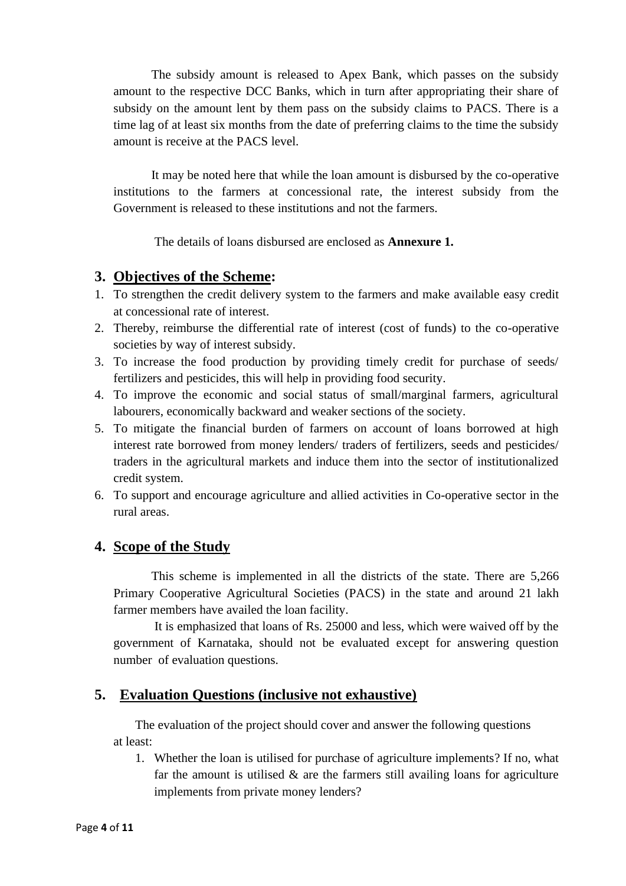The subsidy amount is released to Apex Bank, which passes on the subsidy amount to the respective DCC Banks, which in turn after appropriating their share of subsidy on the amount lent by them pass on the subsidy claims to PACS. There is a time lag of at least six months from the date of preferring claims to the time the subsidy amount is receive at the PACS level.

It may be noted here that while the loan amount is disbursed by the co-operative institutions to the farmers at concessional rate, the interest subsidy from the Government is released to these institutions and not the farmers.

The details of loans disbursed are enclosed as **Annexure 1.**

## **3. Objectives of the Scheme:**

- 1. To strengthen the credit delivery system to the farmers and make available easy credit at concessional rate of interest.
- 2. Thereby, reimburse the differential rate of interest (cost of funds) to the co-operative societies by way of interest subsidy.
- 3. To increase the food production by providing timely credit for purchase of seeds/ fertilizers and pesticides, this will help in providing food security.
- 4. To improve the economic and social status of small/marginal farmers, agricultural labourers, economically backward and weaker sections of the society.
- 5. To mitigate the financial burden of farmers on account of loans borrowed at high interest rate borrowed from money lenders/ traders of fertilizers, seeds and pesticides/ traders in the agricultural markets and induce them into the sector of institutionalized credit system.
- 6. To support and encourage agriculture and allied activities in Co-operative sector in the rural areas.

## **4. Scope of the Study**

This scheme is implemented in all the districts of the state. There are 5,266 Primary Cooperative Agricultural Societies (PACS) in the state and around 21 lakh farmer members have availed the loan facility.

 It is emphasized that loans of Rs. 25000 and less, which were waived off by the government of Karnataka, should not be evaluated except for answering question number of evaluation questions.

### **5. Evaluation Questions (inclusive not exhaustive)**

The evaluation of the project should cover and answer the following questions at least:

1. Whether the loan is utilised for purchase of agriculture implements? If no, what far the amount is utilised  $\&$  are the farmers still availing loans for agriculture implements from private money lenders?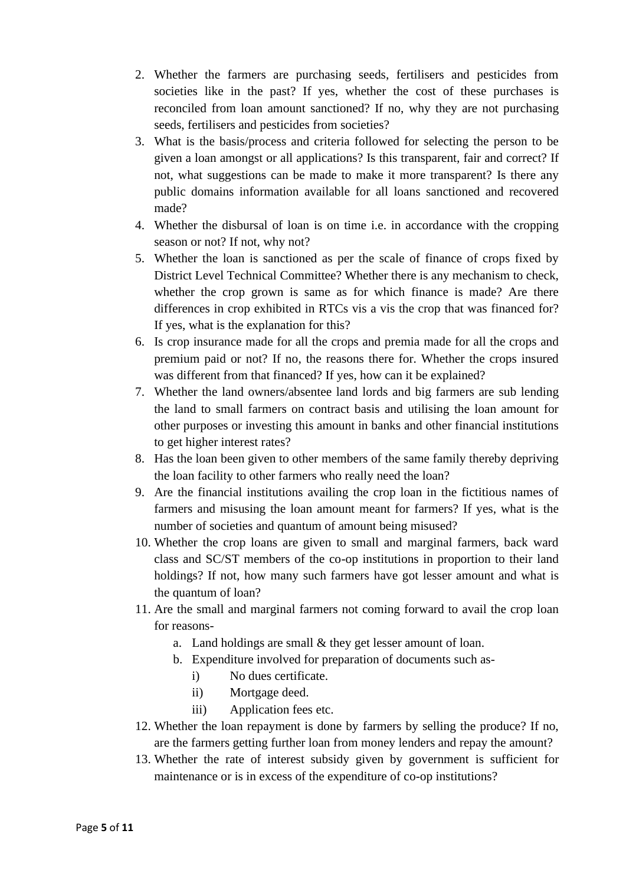- 2. Whether the farmers are purchasing seeds, fertilisers and pesticides from societies like in the past? If yes, whether the cost of these purchases is reconciled from loan amount sanctioned? If no, why they are not purchasing seeds, fertilisers and pesticides from societies?
- 3. What is the basis/process and criteria followed for selecting the person to be given a loan amongst or all applications? Is this transparent, fair and correct? If not, what suggestions can be made to make it more transparent? Is there any public domains information available for all loans sanctioned and recovered made?
- 4. Whether the disbursal of loan is on time i.e. in accordance with the cropping season or not? If not, why not?
- 5. Whether the loan is sanctioned as per the scale of finance of crops fixed by District Level Technical Committee? Whether there is any mechanism to check, whether the crop grown is same as for which finance is made? Are there differences in crop exhibited in RTCs vis a vis the crop that was financed for? If yes, what is the explanation for this?
- 6. Is crop insurance made for all the crops and premia made for all the crops and premium paid or not? If no, the reasons there for. Whether the crops insured was different from that financed? If yes, how can it be explained?
- 7. Whether the land owners/absentee land lords and big farmers are sub lending the land to small farmers on contract basis and utilising the loan amount for other purposes or investing this amount in banks and other financial institutions to get higher interest rates?
- 8. Has the loan been given to other members of the same family thereby depriving the loan facility to other farmers who really need the loan?
- 9. Are the financial institutions availing the crop loan in the fictitious names of farmers and misusing the loan amount meant for farmers? If yes, what is the number of societies and quantum of amount being misused?
- 10. Whether the crop loans are given to small and marginal farmers, back ward class and SC/ST members of the co-op institutions in proportion to their land holdings? If not, how many such farmers have got lesser amount and what is the quantum of loan?
- 11. Are the small and marginal farmers not coming forward to avail the crop loan for reasons
	- a. Land holdings are small & they get lesser amount of loan.
	- b. Expenditure involved for preparation of documents such as
		- i) No dues certificate.
		- ii) Mortgage deed.
		- iii) Application fees etc.
- 12. Whether the loan repayment is done by farmers by selling the produce? If no, are the farmers getting further loan from money lenders and repay the amount?
- 13. Whether the rate of interest subsidy given by government is sufficient for maintenance or is in excess of the expenditure of co-op institutions?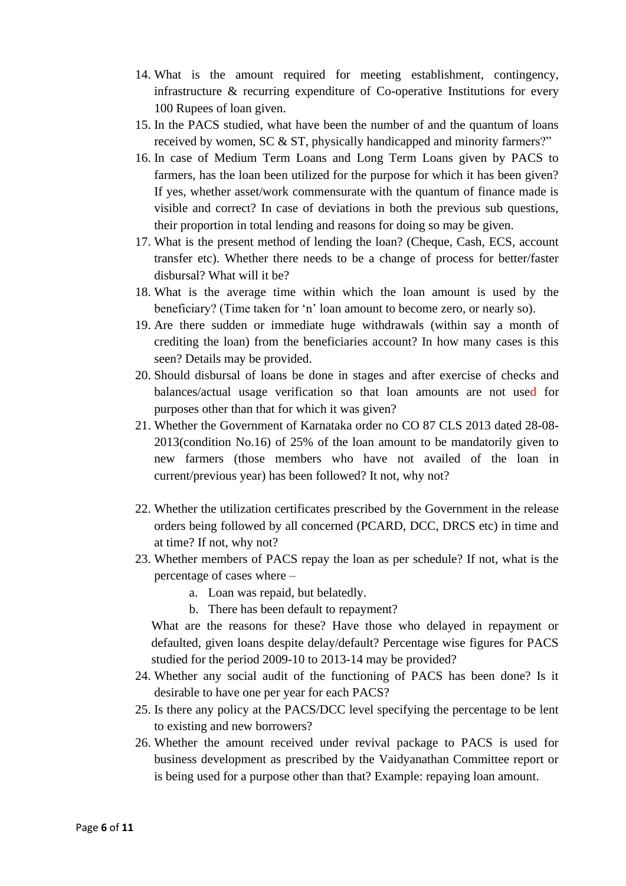- 14. What is the amount required for meeting establishment, contingency, infrastructure & recurring expenditure of Co-operative Institutions for every 100 Rupees of loan given.
- 15. In the PACS studied, what have been the number of and the quantum of loans received by women, SC & ST, physically handicapped and minority farmers?"
- 16. In case of Medium Term Loans and Long Term Loans given by PACS to farmers, has the loan been utilized for the purpose for which it has been given? If yes, whether asset/work commensurate with the quantum of finance made is visible and correct? In case of deviations in both the previous sub questions, their proportion in total lending and reasons for doing so may be given.
- 17. What is the present method of lending the loan? (Cheque, Cash, ECS, account transfer etc). Whether there needs to be a change of process for better/faster disbursal? What will it be?
- 18. What is the average time within which the loan amount is used by the beneficiary? (Time taken for 'n' loan amount to become zero, or nearly so).
- 19. Are there sudden or immediate huge withdrawals (within say a month of crediting the loan) from the beneficiaries account? In how many cases is this seen? Details may be provided.
- 20. Should disbursal of loans be done in stages and after exercise of checks and balances/actual usage verification so that loan amounts are not used for purposes other than that for which it was given?
- 21. Whether the Government of Karnataka order no CO 87 CLS 2013 dated 28-08- 2013(condition No.16) of 25% of the loan amount to be mandatorily given to new farmers (those members who have not availed of the loan in current/previous year) has been followed? It not, why not?
- 22. Whether the utilization certificates prescribed by the Government in the release orders being followed by all concerned (PCARD, DCC, DRCS etc) in time and at time? If not, why not?
- 23. Whether members of PACS repay the loan as per schedule? If not, what is the percentage of cases where –
	- a. Loan was repaid, but belatedly.
	- b. There has been default to repayment?

What are the reasons for these? Have those who delayed in repayment or defaulted, given loans despite delay/default? Percentage wise figures for PACS studied for the period 2009-10 to 2013-14 may be provided?

- 24. Whether any social audit of the functioning of PACS has been done? Is it desirable to have one per year for each PACS?
- 25. Is there any policy at the PACS/DCC level specifying the percentage to be lent to existing and new borrowers?
- 26. Whether the amount received under revival package to PACS is used for business development as prescribed by the Vaidyanathan Committee report or is being used for a purpose other than that? Example: repaying loan amount.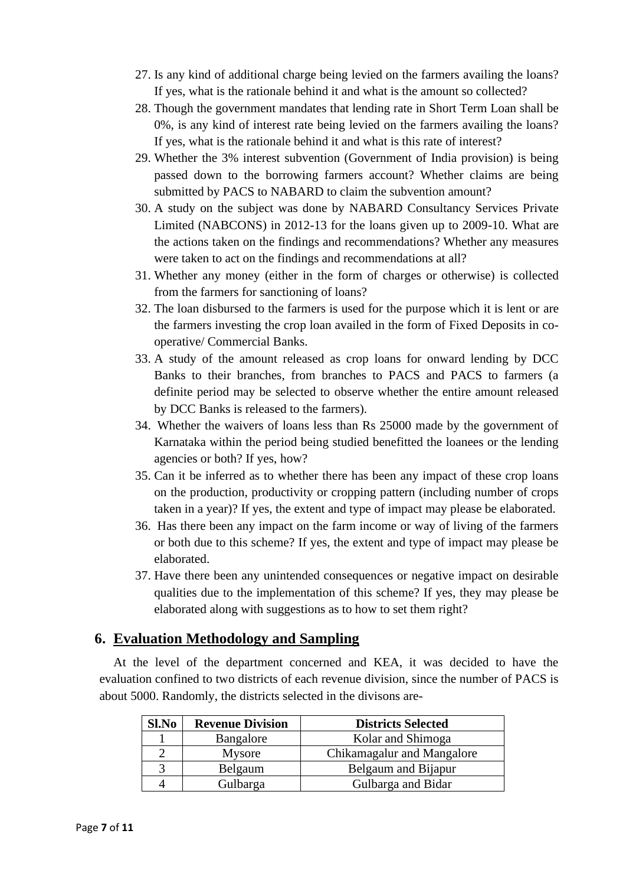- 27. Is any kind of additional charge being levied on the farmers availing the loans? If yes, what is the rationale behind it and what is the amount so collected?
- 28. Though the government mandates that lending rate in Short Term Loan shall be 0%, is any kind of interest rate being levied on the farmers availing the loans? If yes, what is the rationale behind it and what is this rate of interest?
- 29. Whether the 3% interest subvention (Government of India provision) is being passed down to the borrowing farmers account? Whether claims are being submitted by PACS to NABARD to claim the subvention amount?
- 30. A study on the subject was done by NABARD Consultancy Services Private Limited (NABCONS) in 2012-13 for the loans given up to 2009-10. What are the actions taken on the findings and recommendations? Whether any measures were taken to act on the findings and recommendations at all?
- 31. Whether any money (either in the form of charges or otherwise) is collected from the farmers for sanctioning of loans?
- 32. The loan disbursed to the farmers is used for the purpose which it is lent or are the farmers investing the crop loan availed in the form of Fixed Deposits in cooperative/ Commercial Banks.
- 33. A study of the amount released as crop loans for onward lending by DCC Banks to their branches, from branches to PACS and PACS to farmers (a definite period may be selected to observe whether the entire amount released by DCC Banks is released to the farmers).
- 34. Whether the waivers of loans less than Rs 25000 made by the government of Karnataka within the period being studied benefitted the loanees or the lending agencies or both? If yes, how?
- 35. Can it be inferred as to whether there has been any impact of these crop loans on the production, productivity or cropping pattern (including number of crops taken in a year)? If yes, the extent and type of impact may please be elaborated.
- 36. Has there been any impact on the farm income or way of living of the farmers or both due to this scheme? If yes, the extent and type of impact may please be elaborated.
- 37. Have there been any unintended consequences or negative impact on desirable qualities due to the implementation of this scheme? If yes, they may please be elaborated along with suggestions as to how to set them right?

## **6. Evaluation Methodology and Sampling**

At the level of the department concerned and KEA, it was decided to have the evaluation confined to two districts of each revenue division, since the number of PACS is about 5000. Randomly, the districts selected in the divisons are-

| Sl.No | <b>Revenue Division</b> | <b>Districts Selected</b>  |  |  |  |  |  |
|-------|-------------------------|----------------------------|--|--|--|--|--|
|       | Bangalore               | Kolar and Shimoga          |  |  |  |  |  |
|       | Mysore                  | Chikamagalur and Mangalore |  |  |  |  |  |
| 3     | Belgaum                 | Belgaum and Bijapur        |  |  |  |  |  |
|       | Gulbarga                | Gulbarga and Bidar         |  |  |  |  |  |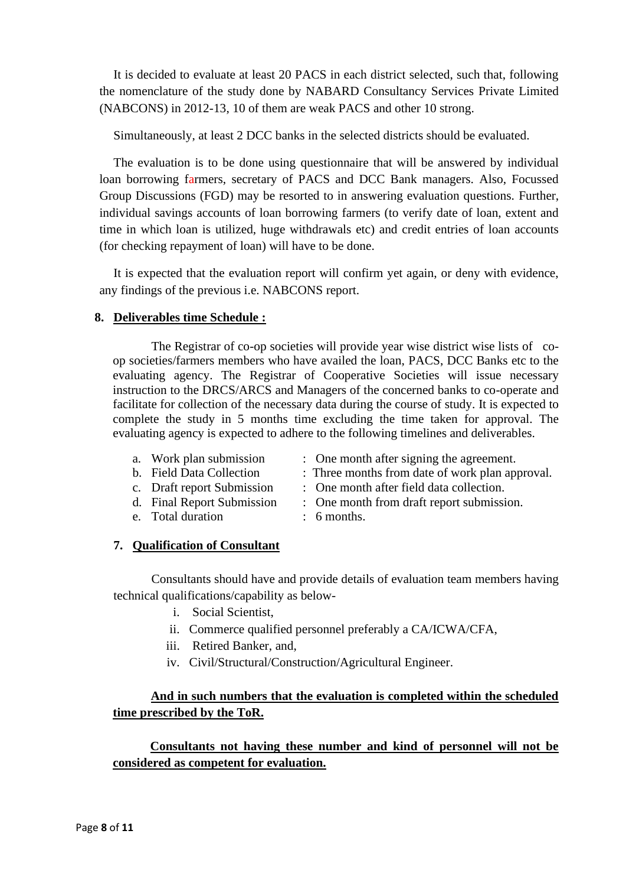It is decided to evaluate at least 20 PACS in each district selected, such that, following the nomenclature of the study done by NABARD Consultancy Services Private Limited (NABCONS) in 2012-13, 10 of them are weak PACS and other 10 strong.

Simultaneously, at least 2 DCC banks in the selected districts should be evaluated.

The evaluation is to be done using questionnaire that will be answered by individual loan borrowing farmers, secretary of PACS and DCC Bank managers. Also, Focussed Group Discussions (FGD) may be resorted to in answering evaluation questions. Further, individual savings accounts of loan borrowing farmers (to verify date of loan, extent and time in which loan is utilized, huge withdrawals etc) and credit entries of loan accounts (for checking repayment of loan) will have to be done.

It is expected that the evaluation report will confirm yet again, or deny with evidence, any findings of the previous i.e. NABCONS report.

### **8. Deliverables time Schedule :**

The Registrar of co-op societies will provide year wise district wise lists of coop societies/farmers members who have availed the loan, PACS, DCC Banks etc to the evaluating agency. The Registrar of Cooperative Societies will issue necessary instruction to the DRCS/ARCS and Managers of the concerned banks to co-operate and facilitate for collection of the necessary data during the course of study. It is expected to complete the study in 5 months time excluding the time taken for approval. The evaluating agency is expected to adhere to the following timelines and deliverables.

- 
- a. Work plan submission : One month after signing the agreement.
- b. Field Data Collection : Three months from date of work plan approval.
- 
- 
- e. Total duration : 6 months.
- c. Draft report Submission : One month after field data collection.
- d. Final Report Submission : One month from draft report submission.
	-

### **7. Qualification of Consultant**

Consultants should have and provide details of evaluation team members having technical qualifications/capability as below-

- i. Social Scientist,
- ii. Commerce qualified personnel preferably a CA/ICWA/CFA,
- iii. Retired Banker, and,
- iv. Civil/Structural/Construction/Agricultural Engineer.

## **And in such numbers that the evaluation is completed within the scheduled time prescribed by the ToR.**

**Consultants not having these number and kind of personnel will not be considered as competent for evaluation.**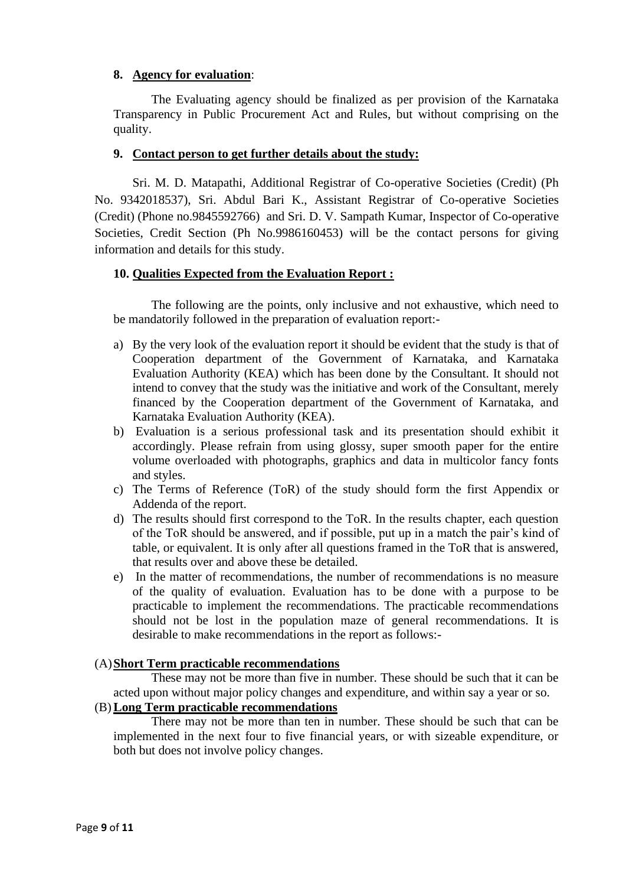#### **8. Agency for evaluation**:

The Evaluating agency should be finalized as per provision of the Karnataka Transparency in Public Procurement Act and Rules, but without comprising on the quality.

#### **9. Contact person to get further details about the study:**

 Sri. M. D. Matapathi, Additional Registrar of Co-operative Societies (Credit) (Ph No. 9342018537), Sri. Abdul Bari K., Assistant Registrar of Co-operative Societies (Credit) (Phone no.9845592766) and Sri. D. V. Sampath Kumar, Inspector of Co-operative Societies, Credit Section (Ph No.9986160453) will be the contact persons for giving information and details for this study.

#### **10. Qualities Expected from the Evaluation Report :**

The following are the points, only inclusive and not exhaustive, which need to be mandatorily followed in the preparation of evaluation report:-

- a) By the very look of the evaluation report it should be evident that the study is that of Cooperation department of the Government of Karnataka, and Karnataka Evaluation Authority (KEA) which has been done by the Consultant. It should not intend to convey that the study was the initiative and work of the Consultant, merely financed by the Cooperation department of the Government of Karnataka, and Karnataka Evaluation Authority (KEA).
- b) Evaluation is a serious professional task and its presentation should exhibit it accordingly. Please refrain from using glossy, super smooth paper for the entire volume overloaded with photographs, graphics and data in multicolor fancy fonts and styles.
- c) The Terms of Reference (ToR) of the study should form the first Appendix or Addenda of the report.
- d) The results should first correspond to the ToR. In the results chapter, each question of the ToR should be answered, and if possible, put up in a match the pair's kind of table, or equivalent. It is only after all questions framed in the ToR that is answered, that results over and above these be detailed.
- e) In the matter of recommendations, the number of recommendations is no measure of the quality of evaluation. Evaluation has to be done with a purpose to be practicable to implement the recommendations. The practicable recommendations should not be lost in the population maze of general recommendations. It is desirable to make recommendations in the report as follows:-

#### (A)**Short Term practicable recommendations**

These may not be more than five in number. These should be such that it can be acted upon without major policy changes and expenditure, and within say a year or so.

#### (B)**Long Term practicable recommendations**

There may not be more than ten in number. These should be such that can be implemented in the next four to five financial years, or with sizeable expenditure, or both but does not involve policy changes.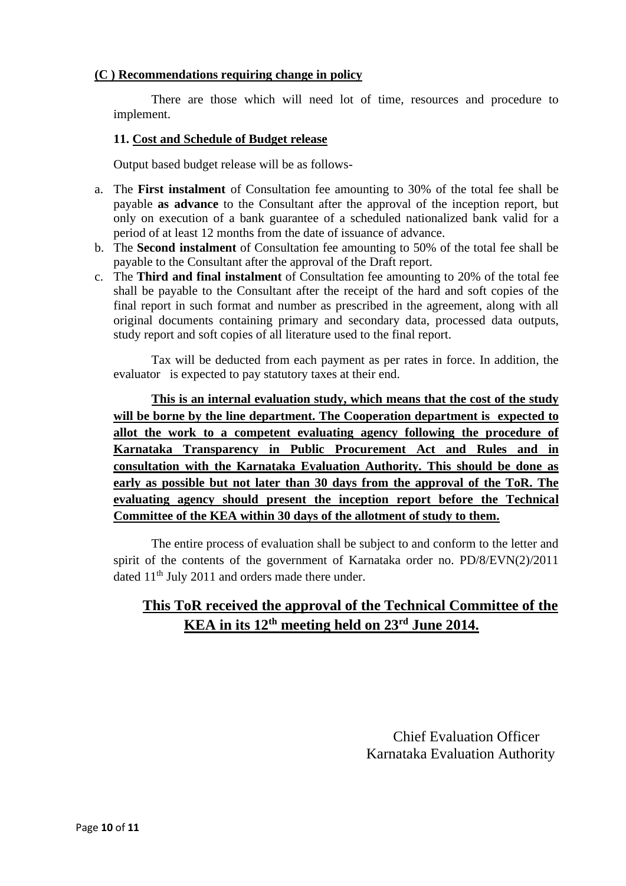#### **(C ) Recommendations requiring change in policy**

There are those which will need lot of time, resources and procedure to implement.

#### **11. Cost and Schedule of Budget release**

Output based budget release will be as follows-

- a. The **First instalment** of Consultation fee amounting to 30% of the total fee shall be payable **as advance** to the Consultant after the approval of the inception report, but only on execution of a bank guarantee of a scheduled nationalized bank valid for a period of at least 12 months from the date of issuance of advance.
- b. The **Second instalment** of Consultation fee amounting to 50% of the total fee shall be payable to the Consultant after the approval of the Draft report.
- c. The **Third and final instalment** of Consultation fee amounting to 20% of the total fee shall be payable to the Consultant after the receipt of the hard and soft copies of the final report in such format and number as prescribed in the agreement, along with all original documents containing primary and secondary data, processed data outputs, study report and soft copies of all literature used to the final report.

Tax will be deducted from each payment as per rates in force. In addition, the evaluator is expected to pay statutory taxes at their end.

**This is an internal evaluation study, which means that the cost of the study will be borne by the line department. The Cooperation department is expected to allot the work to a competent evaluating agency following the procedure of Karnataka Transparency in Public Procurement Act and Rules and in consultation with the Karnataka Evaluation Authority. This should be done as early as possible but not later than 30 days from the approval of the ToR. The evaluating agency should present the inception report before the Technical Committee of the KEA within 30 days of the allotment of study to them.**

The entire process of evaluation shall be subject to and conform to the letter and spirit of the contents of the government of Karnataka order no. PD/8/EVN(2)/2011 dated 11th July 2011 and orders made there under.

## **This ToR received the approval of the Technical Committee of the KEA in its 12th meeting held on 23rd June 2014.**

 Chief Evaluation Officer Karnataka Evaluation Authority